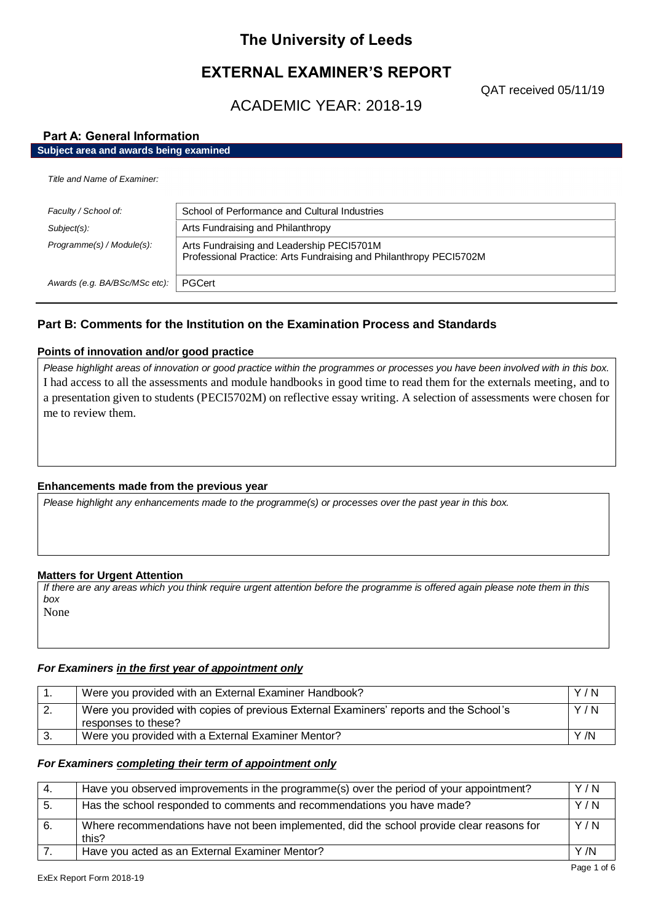# **The University of Leeds**

# **EXTERNAL EXAMINER'S REPORT**

QAT received 05/11/19

# ACADEMIC YEAR: 2018-19

# **Part A: General Information**

# **Subject area and awards being examined**

| Title and Name of Examiner:   |                                                                                                                 |  |
|-------------------------------|-----------------------------------------------------------------------------------------------------------------|--|
| Faculty / School of:          | School of Performance and Cultural Industries                                                                   |  |
| $Subject(s)$ :                | Arts Fundraising and Philanthropy                                                                               |  |
| Programme(s) / Module(s):     | Arts Fundraising and Leadership PEC15701M<br>Professional Practice: Arts Fundraising and Philanthropy PEC15702M |  |
| Awards (e.g. BA/BSc/MSc etc): | PGCert                                                                                                          |  |

# **Part B: Comments for the Institution on the Examination Process and Standards**

### **Points of innovation and/or good practice**

*Please highlight areas of innovation or good practice within the programmes or processes you have been involved with in this box.* I had access to all the assessments and module handbooks in good time to read them for the externals meeting, and to a presentation given to students (PECI5702M) on reflective essay writing. A selection of assessments were chosen for me to review them.

## **Enhancements made from the previous year**

*Please highlight any enhancements made to the programme(s) or processes over the past year in this box.*

## **Matters for Urgent Attention**

*If there are any areas which you think require urgent attention before the programme is offered again please note them in this box* None

### *For Examiners in the first year of appointment only*

|     | Were you provided with an External Examiner Handbook?                                                         | Y/N |
|-----|---------------------------------------------------------------------------------------------------------------|-----|
| -2. | Were you provided with copies of previous External Examiners' reports and the School's<br>responses to these? | Y/N |
|     | Were you provided with a External Examiner Mentor?                                                            | Y/N |

### *For Examiners completing their term of appointment only*

| 4.  | Have you observed improvements in the programme(s) over the period of your appointment?            | Y/N  |
|-----|----------------------------------------------------------------------------------------------------|------|
| -5. | Has the school responded to comments and recommendations you have made?                            | Y/N  |
| 6.  | Where recommendations have not been implemented, did the school provide clear reasons for<br>this? | Y/N  |
|     | Have you acted as an External Examiner Mentor?                                                     | Y /N |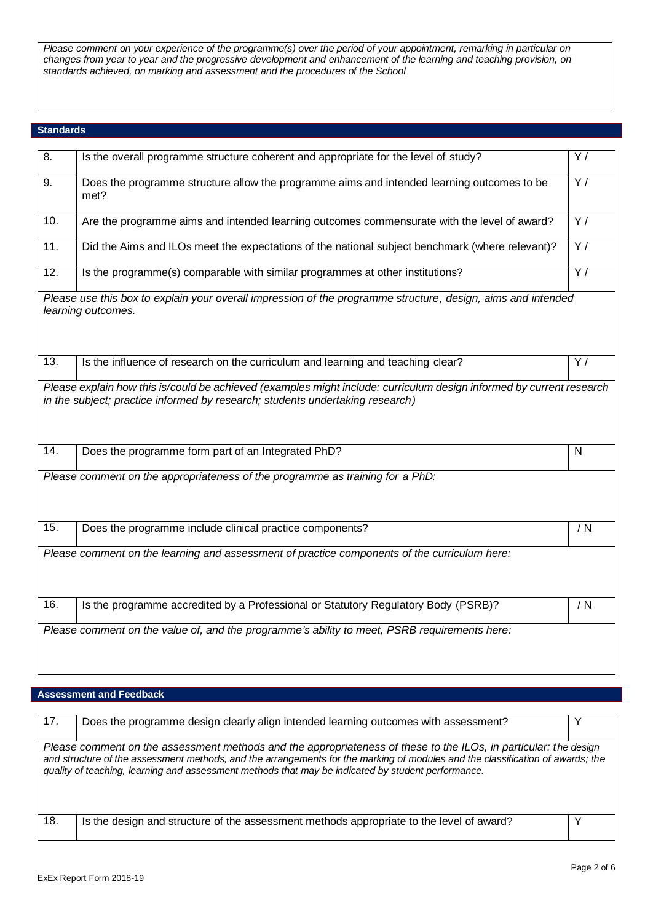*Please comment on your experience of the programme(s) over the period of your appointment, remarking in particular on changes from year to year and the progressive development and enhancement of the learning and teaching provision, on standards achieved, on marking and assessment and the procedures of the School*

# **Standards**

| 8.                | Is the overall programme structure coherent and appropriate for the level of study?                                                                                                                   | Y/             |
|-------------------|-------------------------------------------------------------------------------------------------------------------------------------------------------------------------------------------------------|----------------|
| 9.                | Does the programme structure allow the programme aims and intended learning outcomes to be<br>met?                                                                                                    | $\overline{Y}$ |
| 10.               | Are the programme aims and intended learning outcomes commensurate with the level of award?                                                                                                           | Y/             |
| $\overline{11}$   | Did the Aims and ILOs meet the expectations of the national subject benchmark (where relevant)?                                                                                                       | $\overline{Y}$ |
| 12.               | Is the programme(s) comparable with similar programmes at other institutions?                                                                                                                         | Y/             |
|                   | Please use this box to explain your overall impression of the programme structure, design, aims and intended<br>learning outcomes.                                                                    |                |
| 13.               | Is the influence of research on the curriculum and learning and teaching clear?                                                                                                                       | Y/             |
|                   | Please explain how this is/could be achieved (examples might include: curriculum design informed by current research<br>in the subject; practice informed by research; students undertaking research) |                |
| $\overline{14}$ . | Does the programme form part of an Integrated PhD?                                                                                                                                                    | $\mathsf{N}$   |
|                   | Please comment on the appropriateness of the programme as training for a PhD:                                                                                                                         |                |
| 15.               | Does the programme include clinical practice components?                                                                                                                                              | / N            |
|                   | Please comment on the learning and assessment of practice components of the curriculum here:                                                                                                          |                |
| 16.               | Is the programme accredited by a Professional or Statutory Regulatory Body (PSRB)?                                                                                                                    | / N            |
|                   | Please comment on the value of, and the programme's ability to meet, PSRB requirements here:                                                                                                          |                |

## **Assessment and Feedback**

| 17.                                                                                                                                                                                                                                                                                                                                                      | Does the programme design clearly align intended learning outcomes with assessment?      |  |
|----------------------------------------------------------------------------------------------------------------------------------------------------------------------------------------------------------------------------------------------------------------------------------------------------------------------------------------------------------|------------------------------------------------------------------------------------------|--|
| Please comment on the assessment methods and the appropriateness of these to the ILOs, in particular: the design<br>and structure of the assessment methods, and the arrangements for the marking of modules and the classification of awards; the<br>quality of teaching, learning and assessment methods that may be indicated by student performance. |                                                                                          |  |
| 18.                                                                                                                                                                                                                                                                                                                                                      | Is the design and structure of the assessment methods appropriate to the level of award? |  |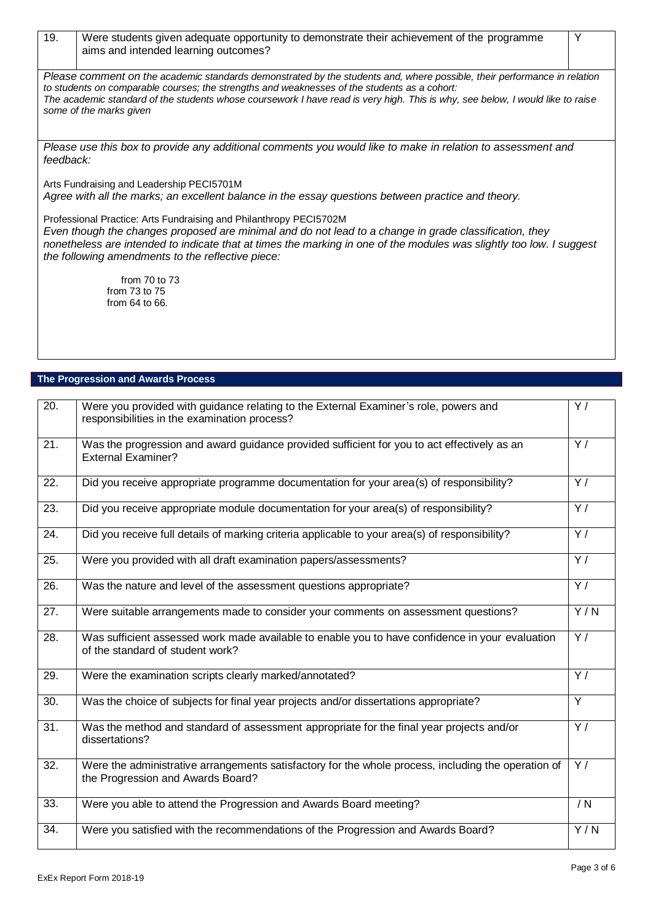| 19.       | Were students given adequate opportunity to demonstrate their achievement of the programme<br>aims and intended learning outcomes?                                                                                                                                                                                                                                                    | Y |  |
|-----------|---------------------------------------------------------------------------------------------------------------------------------------------------------------------------------------------------------------------------------------------------------------------------------------------------------------------------------------------------------------------------------------|---|--|
|           | Please comment on the academic standards demonstrated by the students and, where possible, their performance in relation<br>to students on comparable courses; the strengths and weaknesses of the students as a cohort:<br>The academic standard of the students whose coursework I have read is very high. This is why, see below, I would like to raise<br>some of the marks given |   |  |
| feedback: | Please use this box to provide any additional comments you would like to make in relation to assessment and                                                                                                                                                                                                                                                                           |   |  |
|           | Arts Fundraising and Leadership PECI5701M<br>Agree with all the marks; an excellent balance in the essay questions between practice and theory.                                                                                                                                                                                                                                       |   |  |
|           | Professional Practice: Arts Fundraising and Philanthropy PEC15702M<br>Even though the changes proposed are minimal and do not lead to a change in grade classification, they<br>nonetheless are intended to indicate that at times the marking in one of the modules was slightly too low. I suggest<br>the following amendments to the reflective piece:                             |   |  |
|           | from $70$ to $73$<br>from $73$ to $75$<br>from $64$ to $66$ .                                                                                                                                                                                                                                                                                                                         |   |  |
|           |                                                                                                                                                                                                                                                                                                                                                                                       |   |  |

# **The Progression and Awards Process**

| $\overline{20}$ . | Were you provided with guidance relating to the External Examiner's role, powers and<br>responsibilities in the examination process?     | Y/               |
|-------------------|------------------------------------------------------------------------------------------------------------------------------------------|------------------|
| 21.               | Was the progression and award guidance provided sufficient for you to act effectively as an<br><b>External Examiner?</b>                 | $\overline{Y}$   |
| 22.               | Did you receive appropriate programme documentation for your area(s) of responsibility?                                                  | $\overline{Y}$   |
| 23.               | Did you receive appropriate module documentation for your area(s) of responsibility?                                                     | $\overline{Y}$   |
| 24.               | Did you receive full details of marking criteria applicable to your area(s) of responsibility?                                           | $\overline{Y}$   |
| 25.               | Were you provided with all draft examination papers/assessments?                                                                         | Y/               |
| 26.               | Was the nature and level of the assessment questions appropriate?                                                                        | $\overline{Y}$ / |
| 27.               | Were suitable arrangements made to consider your comments on assessment questions?                                                       | Y/N              |
| 28.               | Was sufficient assessed work made available to enable you to have confidence in your evaluation<br>of the standard of student work?      | Y/               |
| 29.               | Were the examination scripts clearly marked/annotated?                                                                                   | $\overline{Y}$   |
| 30.               | Was the choice of subjects for final year projects and/or dissertations appropriate?                                                     | Y                |
| $\overline{31}$ . | Was the method and standard of assessment appropriate for the final year projects and/or<br>dissertations?                               | $\overline{Y}$   |
| 32.               | Were the administrative arrangements satisfactory for the whole process, including the operation of<br>the Progression and Awards Board? | Y/               |
| 33.               | Were you able to attend the Progression and Awards Board meeting?                                                                        | / N              |
| 34.               | Were you satisfied with the recommendations of the Progression and Awards Board?                                                         | Y/N              |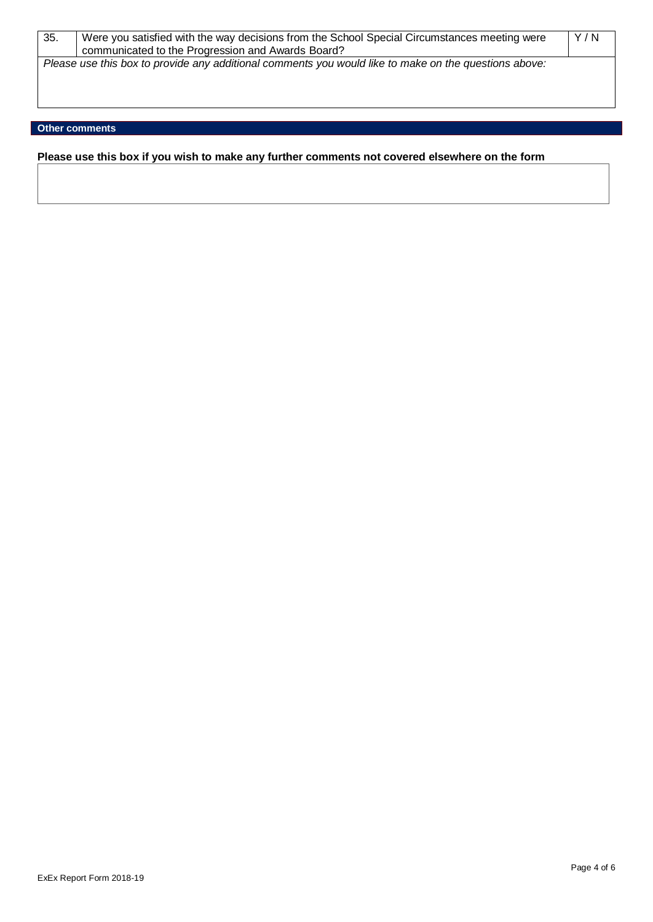| 35. | Were you satisfied with the way decisions from the School Special Circumstances meeting were<br>communicated to the Progression and Awards Board? | Y/N |
|-----|---------------------------------------------------------------------------------------------------------------------------------------------------|-----|
|     | Please use this box to provide any additional comments you would like to make on the questions above:                                             |     |
|     |                                                                                                                                                   |     |

# **Other comments**

**Please use this box if you wish to make any further comments not covered elsewhere on the form**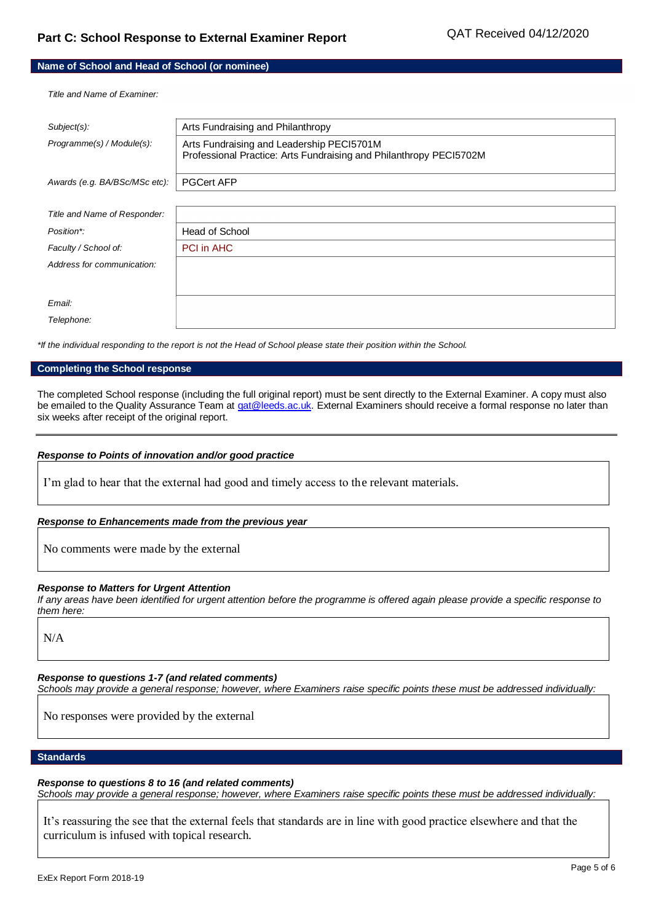### **Name of School and Head of School (or nominee)**

*Title and Name of Examiner:*

| $Subject(s)$ :                | Arts Fundraising and Philanthropy                                                                               |
|-------------------------------|-----------------------------------------------------------------------------------------------------------------|
| Programme(s) / Module(s):     | Arts Fundraising and Leadership PECI5701M<br>Professional Practice: Arts Fundraising and Philanthropy PECI5702M |
| Awards (e.g. BA/BSc/MSc etc): | <b>PGCert AFP</b>                                                                                               |
|                               |                                                                                                                 |
| Title and Name of Responder:  |                                                                                                                 |
| Position*:                    | Head of School                                                                                                  |
| Faculty / School of:          | <b>PCI in AHC</b>                                                                                               |
| Address for communication:    |                                                                                                                 |
|                               |                                                                                                                 |
| Email:                        |                                                                                                                 |
| Telephone:                    |                                                                                                                 |
|                               |                                                                                                                 |

*\*If the individual responding to the report is not the Head of School please state their position within the School.*

### **Completing the School response**

The completed School response (including the full original report) must be sent directly to the External Examiner. A copy must also be emailed to the Quality Assurance Team a[t qat@leeds.ac.uk.](mailto:qat@leeds.ac.uk) External Examiners should receive a formal response no later than six weeks after receipt of the original report.

### *Response to Points of innovation and/or good practice*

I'm glad to hear that the external had good and timely access to the relevant materials.

### *Response to Enhancements made from the previous year*

No comments were made by the external

### *Response to Matters for Urgent Attention*

*If any areas have been identified for urgent attention before the programme is offered again please provide a specific response to them here:*

N/A

*Response to questions 1-7 (and related comments)*

*Schools may provide a general response; however, where Examiners raise specific points these must be addressed individually:*

No responses were provided by the external

### **Standards**

## *Response to questions 8 to 16 (and related comments)*

*Schools may provide a general response; however, where Examiners raise specific points these must be addressed individually:*

It's reassuring the see that the external feels that standards are in line with good practice elsewhere and that the curriculum is infused with topical research.